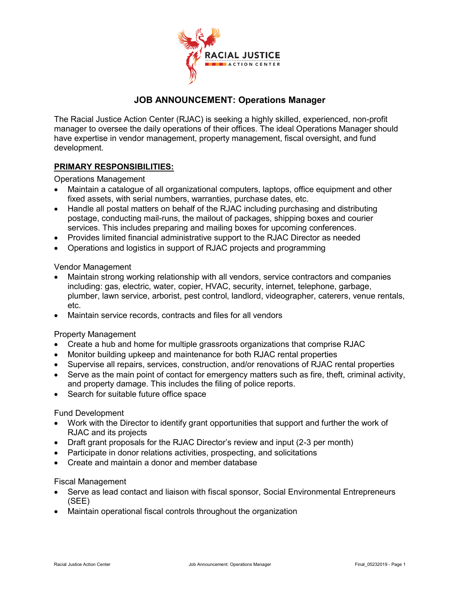

# **JOB ANNOUNCEMENT: Operations Manager**

The Racial Justice Action Center (RJAC) is seeking a highly skilled, experienced, non-profit manager to oversee the daily operations of their offices. The ideal Operations Manager should have expertise in vendor management, property management, fiscal oversight, and fund development.

## **PRIMARY RESPONSIBILITIES:**

Operations Management

- Maintain a catalogue of all organizational computers, laptops, office equipment and other fixed assets, with serial numbers, warranties, purchase dates, etc.
- Handle all postal matters on behalf of the RJAC including purchasing and distributing postage, conducting mail-runs, the mailout of packages, shipping boxes and courier services. This includes preparing and mailing boxes for upcoming conferences.
- Provides limited financial administrative support to the RJAC Director as needed
- Operations and logistics in support of RJAC projects and programming

#### Vendor Management

- Maintain strong working relationship with all vendors, service contractors and companies including: gas, electric, water, copier, HVAC, security, internet, telephone, garbage, plumber, lawn service, arborist, pest control, landlord, videographer, caterers, venue rentals, etc.
- Maintain service records, contracts and files for all vendors

### Property Management

- Create a hub and home for multiple grassroots organizations that comprise RJAC
- Monitor building upkeep and maintenance for both RJAC rental properties
- Supervise all repairs, services, construction, and/or renovations of RJAC rental properties
- Serve as the main point of contact for emergency matters such as fire, theft, criminal activity, and property damage. This includes the filing of police reports.
- Search for suitable future office space

### Fund Development

- Work with the Director to identify grant opportunities that support and further the work of RJAC and its projects
- Draft grant proposals for the RJAC Director's review and input (2-3 per month)
- Participate in donor relations activities, prospecting, and solicitations
- Create and maintain a donor and member database

#### Fiscal Management

- Serve as lead contact and liaison with fiscal sponsor, Social Environmental Entrepreneurs (SEE)
- Maintain operational fiscal controls throughout the organization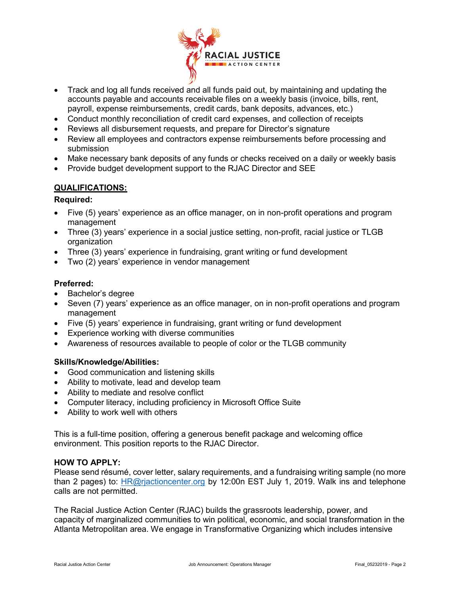

- Track and log all funds received and all funds paid out, by maintaining and updating the accounts payable and accounts receivable files on a weekly basis (invoice, bills, rent, payroll, expense reimbursements, credit cards, bank deposits, advances, etc.)
- Conduct monthly reconciliation of credit card expenses, and collection of receipts
- Reviews all disbursement requests, and prepare for Director's signature
- Review all employees and contractors expense reimbursements before processing and submission
- Make necessary bank deposits of any funds or checks received on a daily or weekly basis
- Provide budget development support to the RJAC Director and SEE

### **QUALIFICATIONS:**

### **Required:**

- Five (5) years' experience as an office manager, on in non-profit operations and program management
- Three (3) years' experience in a social justice setting, non-profit, racial justice or TLGB organization
- Three (3) years' experience in fundraising, grant writing or fund development
- Two (2) years' experience in vendor management

### **Preferred:**

- Bachelor's degree
- Seven (7) years' experience as an office manager, on in non-profit operations and program management
- Five (5) years' experience in fundraising, grant writing or fund development
- Experience working with diverse communities
- Awareness of resources available to people of color or the TLGB community

### **Skills/Knowledge/Abilities:**

- Good communication and listening skills
- Ability to motivate, lead and develop team
- Ability to mediate and resolve conflict
- Computer literacy, including proficiency in Microsoft Office Suite
- Ability to work well with others

This is a full-time position, offering a generous benefit package and welcoming office environment. This position reports to the RJAC Director.

### **HOW TO APPLY:**

Please send résumé, cover letter, salary requirements, and a fundraising writing sample (no more than 2 pages) to: HR@rjactioncenter.org by 12:00n EST July 1, 2019. Walk ins and telephone calls are not permitted.

The Racial Justice Action Center (RJAC) builds the grassroots leadership, power, and capacity of marginalized communities to win political, economic, and social transformation in the Atlanta Metropolitan area. We engage in Transformative Organizing which includes intensive